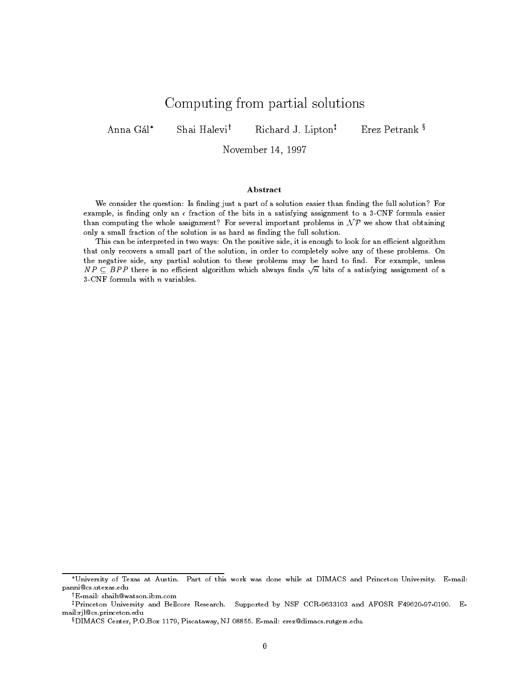# Computing from partial solutions

Anna Gál\* Shai Halevi<sup>†</sup> Richard J. Lipton<sup>‡</sup> Erez Petrank §

November - Andrea Sterlingen - Andrea Sterlingen - Andrea Sterlingen - Andrea Sterlingen - Andrea Sterlingen

## Abstract

We consider the question. Is nucling just a part of a solution easier than nucling the full solution: For example, is nucling only an  $\epsilon$  fraction of the bits in a satisfying assignment to a  $\delta$  CNF formula easier  $\frac{1}{10}$  computing the whole assignment: For several important problems in N P we show that obtaining only a small fraction of the solution is as hard as finding the full solution.

This can be interpreted in two ways: On the positive side, it is enough to look for an efficient algorithm that only recovers a small part of the solution, in order to completely solve any of these problems. On the negative side, any partial solution to these problems may be hard to find. For example, unless  $NP\subseteq BPP$  there is no efficient algorithm which always finds  $\sqrt{n}$  bits of a satisfying assignment of a  $\sigma$  CNF formula with  $n$  variables.

<sup>\*</sup>University of Texas at Austin. Part of this work was done while at DIMACS and Princeton University. E-mail: panni@cs.utexas.edu

yEmail- shaihwatsonibmcom

 $\tau$ Princeton University and Bellcore Research. Supported by NSF CUR-9033103 and AFOSR F49020-97-0190. B mail-rjlcsprincetonedu

<sup>°</sup>DIMACS Center, P.O.Dox 1179, Piscataway, NJ 06699. E-mail: erezwulmacs.rutgers.edu.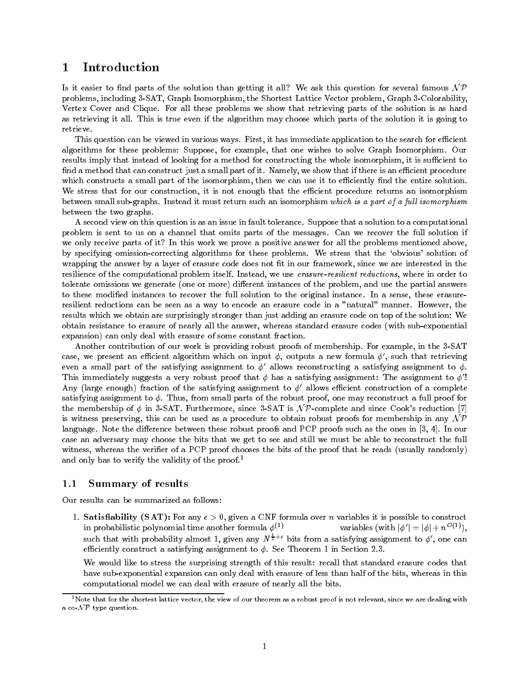### Introduction  $\mathbf{1}$

 ${\bf 1}\quad {\bf Introduction} \nonumber$ Is it easier to find parts of the solution than getting it all? We ask this question for several famous  ${\cal NP}$ problems, including 3-SAT, Graph Isomorphism, the Shortest Lattice Vector problem, Graph 3-Colorability, Vertex Cover and Clique. For all these problems we show that retrieving parts of the solution is as hard as retrieving it all. This is true even if the algorithm may choose which parts of the solution it is going to retrieve

This question can be viewed in various ways. First, it has immediate application to the search for efficient algorithms for these problems: Suppose, for example, that one wishes to solve Graph Isomorphism. Our results imply that instead of looking for a method for constructing the whole isomorphism, it is sufficient to find a method that can construct just a small part of it. Namely, we show that if there is an efficient procedure which constructs a small part of the isomorphism, then we can use it to efficiently find the entire solution. We stress that for our construction, it is not enough that the efficient procedure returns an isomorphism between small sub-graphs. Instead it must return such an isomorphism which is a part of a full isomorphism between the two graphs

A second view on this question is as an issue in fault tolerance Suppose that a solution to a computational problem is sent to us on a channel that omits parts of the messages Can we recover the full solution if we only receive parts of it- In this work we prove a positive answer for all the problems mentioned above by specifying omissioncorrecting algorithms for these problems We stress that the obvious solution of wrapping the answer by a layer of erasure code does not fit in our framework, since we are interested in the resilience of the computational problem itself. Instead, we use *erasure-resilient reductions*, where in order to tolerate omissions we generate (one or more) different instances of the problem, and use the partial answers to these modified instances to recover the full solution to the original instance. In a sense, these erasureresilient reductions can be seen as a way to encode an erasure code in a "natural" manner. However, the results which we obtain are surprisingly stronger than just adding an erasure code on top of the solution: We obtain resistance to erasure of nearly all the answer, whereas standard erasure codes (with sub-exponential expansion) can only deal with erasure of some constant fraction.

Another contribution of our work is providing robust proofs of membership. For example, in the 3-SAT case, we present an efficient algorithm which on input  $\phi$ , outputs a new formula  $\phi'$ , such that retrieving even a small part of the satisfying assignment to  $\phi'$  allows reconstructing a satisfying assignment to  $\phi$ . This immediately suggests a very robust proof that  $\phi$  has a satisfying assignment: The assignment to  $\phi'$ ! Any (large enough) fraction of the satisfying assignment to  $\phi'$  allows efficient construction of a complete satisfying assignment to Thus from small parts of the robust proof one may reconstruct a full proof for Any (large enough) fraction of the satisfying assignment to  $\phi'$  allows efficient construction satisfying assignment to  $\phi$ . Thus, from small parts of the robust proof, one may reconstruct the membership of  $\phi$  in 3-SA the membership of  $\phi$  in 3-SAT. Furthermore, since 3-SAT is NP-complete and since Cook's reduction [7] is witness preserving, this can be used as a procedure to obtain robust proofs for membership in any  $\mathcal{NP}$ language. Note the difference between these robust proofs and PCP proofs such as the ones in [3, 4]. In our case an adversary may choose the bits that we get to see and still we must be able to reconstruct the full witness, whereas the verifier of a PCP proof chooses the bits of the proof that he reads (usually randomly) and only has to verify the validity of the proof.<sup>1</sup>

#### $1.1$ Summary of results

Our results can be summarized as follows

 $S_A$  satisfactor  $S_A$  is possible to construct it is possible to construct it is possible to construct it is possible to construct it is possible to construct it is possible to construct it is possible to construct it is in probabilistic polynomial time another formula  $\phi^{(1)}$ variables (with  $|\phi'| = |\phi| + n^{O(1)}$ ), such that with probability almost 1, given any  $N^{\frac{1}{2}+\epsilon}$  bits from a satisfying assignment to  $\phi'$ , one can efficiently construct a satisfying assignment to  $\phi$ . See Theorem 1 in Section 2.3.

We would like to stress the surprising strength of this result: recall that standard erasure codes that have sub-exponential expansion can only deal with erasure of less than half of the bits, whereas in this computational model we can deal with erasure of nearly all the bits

 $^1$  Note that for the shortest lattice vector, the view of our theorem as a robust proof is not relevant, since we are dealing with a co $\mathcal{NP}$  type question.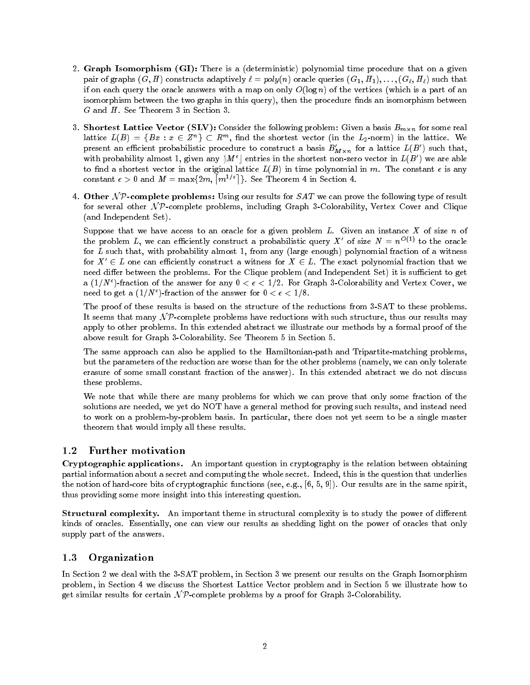- ar a there as there phism Gi-There is a deterministic polynomial time procedure that on a given that  $\alpha$ pair of graphs  $(G, H)$  constructs adaptively  $\ell = poly(n)$  oracle queries  $(G_1, H_1), \ldots, (G_\ell, H_\ell)$  such that if on each query the oracle answers with a map on only  $O(\log n)$  of the vertices (which is a part of an isomorphism between the two graphs in this query), then the procedure finds an isomorphism between  $G$  and  $H$ . See Theorem 3 in Section 3.
- 3. Shortest Lattice Vector (SLV): Consider the following problem: Given a basis  $B_{m \times n}$  for some real lattice  $L(B) = \{Bx : x \in \mathbb{Z}^n\} \subset \mathbb{R}^m$ , find the shortest vector (in the  $L_2$ -norm) in the lattice. We present an efficient probabilistic procedure to construct a basis  $B'_{M\times n}$  for a lattice  $L(B')$  such that, with probability almost 1, given any  $\mathbb{M}^{\epsilon}$  entries in the shortest non-zero vector in  $L(B')$  we are able to find a shortest vector in the original lattice  $L(B)$  in time polynomial in m. The constant  $\epsilon$  is any constant  $\epsilon > 0$  and  $M = \max\{2m, \lceil m^{1/\epsilon} \rceil \}$ . See Theorem 4 in Section 4.
- 4. Other  $N \mathcal{P}$ -complete problems: Using our results for  $SAT$  we can prove the following type of result for several other  $\mathcal{NP}$ -complete problems, including Graph 3-Colorability, Vertex Cover and Clique (and Independent Set).

Suppose that we have access to an oracle for a given problem L. Given an instance X of size n of the problem  $L$ , we can efficiently construct a probabilistic query  $\Lambda^+$  of size  $N^-=n^{<\Lambda^+}$  to the oracle for  $L$  such that, with probability almost 1, from any (large enough) polynomial fraction of a witness for  $X' \in L$  one can efficiently construct a witness for  $X \in L$ . The exact polynomial fraction that we need differ between the problems. For the Clique problem (and Independent Set) it is sufficient to get a  $(1/N^{\epsilon})$ -fraction of the answer for any  $0 < \epsilon < 1/2$ . For Graph 3-Colorability and Vertex Cover, we need to get a  $(1/N^{\epsilon})$ -fraction of the answer for  $0 < \epsilon < 1/8$ .

The proof of these results is based on the structure of the reductions from SAT to these problems need to get a (1/10 )-rraction or the answer for  $0 < \epsilon < 1/8$ .<br>The proof of these results is based on the structure of the reductions from 3-SAT to these problems.<br>It seems that many NP-complete problems have reductions wi apply to other problems In this extended abstract we illustrate our methods by a formal proof of the above result for Graph 3-Colorability. See Theorem 5 in Section 5.

The same approach can also be applied to the Hamiltonian-path and Tripartite-matching problems, but the parameters of the reduction are worse than for the other problems (namely, we can only tolerate erasure of some small constant fraction of the answer). In this extended abstract we do not discuss these problems

We note that while there are many problems for which we can prove that only some fraction of the solutions are needed, we yet do NOT have a general method for proving such results, and instead need to work on a problem-by-problem basis. In particular, there does not yet seem to be a single master theorem that would imply all these results

### $1.2$ Further motivation

Cryptographic applications. An important question in cryptography is the relation between obtaining partial information about a secret and computing the whole secret. Indeed, this is the question that underlies the notion of hard-core bits of cryptographic functions (see, e.g.,  $[6, 5, 9]$ ). Our results are in the same spirit, thus providing some more insight into this interesting question

Structural complexity. An important theme in structural complexity is to study the power of different kinds of oracles Essentially one can view our results as shedding light on the power of oracles that only supply part of the answers.

# 1.3 Organization

In Section 2 we deal with the 3-SAT problem, in Section 3 we present our results on the Graph Isomorphism problem, in Section 4 we discuss the Shortest Lattice Vector problem and in Section 5 we illustrate how to get similar results for certain  $\mathcal{NP}$ -complete problems by a proof for Graph 3-Colorability.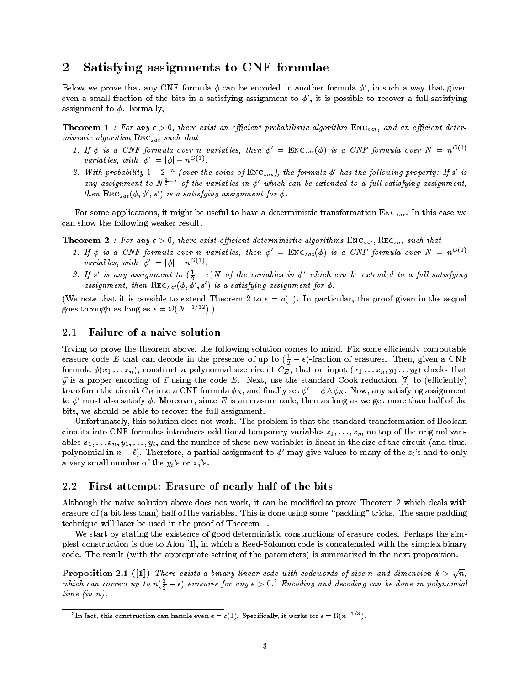### Satisfying assignments to CNF formulae  $\overline{2}$

Below we prove that any CNF formula  $\phi$  can be encoded in another formula  $\phi'$ , in such a way that given even a small fraction of the bits in a satisfying assignment to  $\phi'$ , it is possible to recover a full satisfying assignment to  $\phi$ . Formally,

Theorem For any - - there exist an ecient probabilistic algorithm Encsat- and an ecient deter ministic algorithm  $\text{Rec}_{sat}$  such that

- 1. If  $\varphi$  is a CNF formula over n variables, then  $\varphi~=~\text{ENC}_{sat}(\varphi)$  is a CNF formula over  $N~=~n^{2/3}$ variables, with  $|\phi'| = |\phi| + n^{O(1)}$ .
- 2. With probability  $1-2^{-n}$  (over the coins of  $\text{ENC}_{sat}$ ), the formula  $\phi'$  has the following property: If s' is any assignment to  $N^{\frac{1}{2}+\epsilon}$  of the variables in  $\phi'$  which can be extended to a full satisfying assignment, then  $\text{Rec}_{sat}(\phi, \phi', s')$  is a satisfying assignment for  $\phi$ .

For some applications, it might be useful to have a deterministic transformation  $Enc_{sat}$ . In this case we can show the following weaker result

Theorem For any - - there exist ecient deterministic algorithms Encsat Recsat such that

- 1. If  $\varphi$  is a CNF formula over n variables, then  $\varphi$   $\, =\,$  ENC<sub>sat</sub>( $\varphi$ ) is a CNF formula over  $N\, =\, n$   $\sim$   $\, \sim$ variables, with  $|\phi'| = |\phi| + n^{O(1)}$ .
- $z.$  If  $s$  is any assignment to  $(\frac{\pi}{2}+\epsilon)$  iv of the variables in  $\phi$  which can be extended to a full satisfying assignment, then  $\texttt{REC}_{sat}(\varphi,\varphi\;,\;s\;)\;$  is a satisfying assignment for  $\varphi$ .

(We note that it is possible to extend Theorem 2 to  $\epsilon = o(1)$ . In particular, the proof given in the sequel goes through as long as  $\epsilon = \alpha(N - 1 - 1)$ .

#### 2.1 Failure of a naive solution

Trying to prove the theorem above, the following solution comes to mind. Fix some efficiently computable erasure code  $E$  that can decode in the presence of up to  $(\frac{1}{2}-\epsilon)$ -fraction of erasures. Then, given a CNF formula x xn construct a polynomial size circuit CE that on input x xn y y checks that  $\vec{y}$  is a proper encoding of  $\vec{x}$  using the code E. Next, use the standard Cook reduction [7] to (efficiently) transform the circuit  $C_E$  into a CNF formula  $\phi_E$ , and finally set  $\phi' = \phi \wedge \phi_E$ . Now, any satisfying assignment to  $\phi'$  must also satisfy  $\phi$ . Moreover, since E is an erasure code, then as long as we get more than half of the bits, we should be able to recover the full assignment.

Unfortunately this solution does not work The problem is that the standard transformation of Boolean circuits into CNF formulas introduces additional temporary variables  $z_1, \ldots, z_m$  on top of the original variables  $x_1, \ldots, x_n, y_1, \ldots, y_\ell$ , and the number of these new variables is linear in the size of the circuit (and thus, polynomial in  $n + \ell$ ). Therefore, a partial assignment to  $\varphi$  -may give values to many of the  $z_i$  s and to only as very small number of the yields  $\mathcal{J}_k$  as or  $\mathcal{J}_k$  as  $\mathcal{J}_k$ 

# First attempt: Erasure of nearly half of the bits

Although the naive solution above does not work, it can be modified to prove Theorem 2 which deals with erasure of (a bit less than) half of the variables. This is done using some "padding" tricks. The same padding technique will later be used in the proof of Theorem

We start by stating the existence of good deterministic constructions of erasure codes. Perhaps the simplest construction is due to Alon [1], in which a Reed-Solomon code is concatenated with the simplex binary code. The result (with the appropriate setting of the parameters) is summarized in the next proposition.

**Proposition 2.1** ([1]) There exists a binary linear code with codewords of size n and dimension  $k > \sqrt{n}$ , which can correct up to  $n(\frac{1}{2}-\epsilon)$  erasures for any  $\epsilon>0$ . Encoding and decoding can be done in polynomial time (in  $n$ ).

<sup>-</sup> in fact, this construction can handle even  $\epsilon = o(1)$  , opecifically, it works for  $\epsilon = \Omega(n^{-1/3})$  .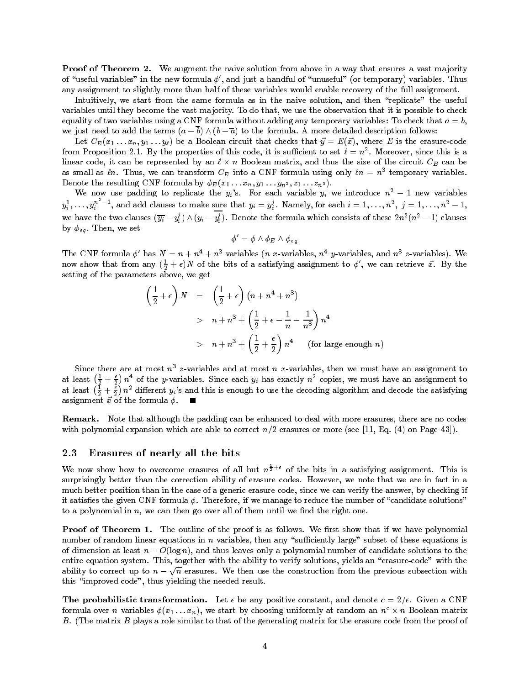**Proof of Theorem 2.** We augment the naive solution from above in a way that ensures a vast majority of "useful variables" in the new formula  $\phi'$ , and just a handful of "unuseful" (or temporary) variables. Thus any assignment to slightly more than half of these variables would enable recovery of the full assignment

Intuitively, we start from the same formula as in the naive solution, and then "replicate" the useful variables until they become the vast majority. To do that, we use the observation that it is possible to check equality of two variables using a CNF formula without adding any temporary variables: To check that  $a = b$ , we just need to add the terms  $(a - \overline{b}) \wedge (b - \overline{a})$  to the formula. A more detailed description follows:

Let  $C_E(x_1 \ldots x_n, y_1 \ldots y_\ell)$  be a Boolean circuit that checks that  $\vec{y} = E(\vec{x})$ , where E is the erasure-code from Proposition 2.1. By the properties of this code, it is sufficient to set  $\ell = n$  . Moreover, since this is a linear code, it can be represented by an  $\ell \times n$  Boolean matrix, and thus the size of the circuit  $C_E$  can be as small as  $\ell n$ . Thus, we can transform  $C_E$  into a CNF formula using only  $\ell n = n^*$  temporary variables.  $D$  and the resulting CNF formula by FD  $(\alpha_1,\ldots,\alpha_N)$  yn  $\alpha_1,\ldots,\alpha_N$  ,  $\alpha_1,\ldots,\alpha_N$ 

We now use padding to replicate the  $y_i$ 's. For each variable  $y_i$  we introduce  $n^2-1$  new variables  $y_i^1,\ldots,y_i^{n^--1},$  and add clauses to make sure that  $y_i=y_i^j$ . Namely, for each  $i=1,\ldots,n^2, \; j=1,\ldots,n^2-1,$ we have the two clauses  $(\overline{y_i}-y_i')\wedge (y_i-y_i')$ . Denote the formula which consists of these  $2n^2(n^2-1)$  clauses by  $\phi_{ea}$ . Then, we set

$$
\phi' = \phi \wedge \phi_E \wedge \phi_{\mathit{eq}}
$$

The CNF formula  $\phi'$  has  $N = n + n^4 + n^3$  variables (*n x*-variables,  $n^4$  *y*-variables, and  $n^3$  *z*-variables). We how show that from any  $(\frac{1}{2} + \epsilon)N$  of the bits of a satisfying assignment to  $\varphi$  , we can retrieve x. By the setting of the parameters above, we get

$$
\left(\frac{1}{2} + \epsilon\right)N = \left(\frac{1}{2} + \epsilon\right)(n + n^4 + n^3)
$$
  
>  $n + n^3 + \left(\frac{1}{2} + \epsilon - \frac{1}{n} - \frac{1}{n^3}\right)n^4$   
>  $n + n^3 + \left(\frac{1}{2} + \frac{\epsilon}{2}\right)n^4$  (for large enough n)

Since there are at most  $n^3$  z-variables and at most n x-variables, then we must have an assignment to at least  $(\frac{1}{2} + \frac{\epsilon}{2}) n^4$  of the y-variables. Since each  $y_i$  has exactly  $n^2$  copies, we must have an assignment to at least  $(\frac{1}{2}+\frac{\epsilon}{2}) n^2$  different  $y_i$ 's and this is enough to use the decoding algorithm and decode the satisfying assignment  $\vec{x}$  of the formula  $\phi$ .

Remark. Note that although the padding can be enhanced to deal with more erasures, there are no codes with polynomial expansion which are able to correct  $n/2$  erasures or more (see [11, Eq. (4) on Page 43]).

#### 2.3 Erasures of nearly all the bits

We now show how to overcome erasures of all but  $n^{\frac{1}{2}+\epsilon}$  of the bits in a satisfying assignment. This is surprisingly better than the correction ability of erasure codes. However, we note that we are in fact in a much better position than in the case of a generic erasure code, since we can verify the answer, by checking if it satisfies the given CNF formula  $\phi$ . Therefore, if we manage to reduce the number of "candidate solutions" to a polynomial in  $n$ , we can then go over all of them until we find the right one.

**Proof of Theorem 1.** The outline of the proof is as follows. We first show that if we have polynomial number of random linear equations in n variables, then any "sufficiently large" subset of these equations is of dimension at least  $n - O(\log n)$ , and thus leaves only a polynomial number of candidate solutions to the entire equation system. This, together with the ability to verify solutions, yields an "erasure-code" with the entific equation system. This, together with the ability to verify solutions, yields an erasure-code with the<br>ability to correct up to  $n - \sqrt{n}$  erasures. We then use the construction from the previous subsection with this "improved code", thus yielding the needed result.

The probabilistic transformation. Let  $\epsilon$  be any positive constant, and denote  $c = 2/\epsilon$ . Given a CNF formula over n variables  $\phi(x_1 \ldots x_n)$ , we start by choosing uniformly at random an  $n^c \times n$  Boolean matrix B. (The matrix B plays a role similar to that of the generating matrix for the erasure code from the proof of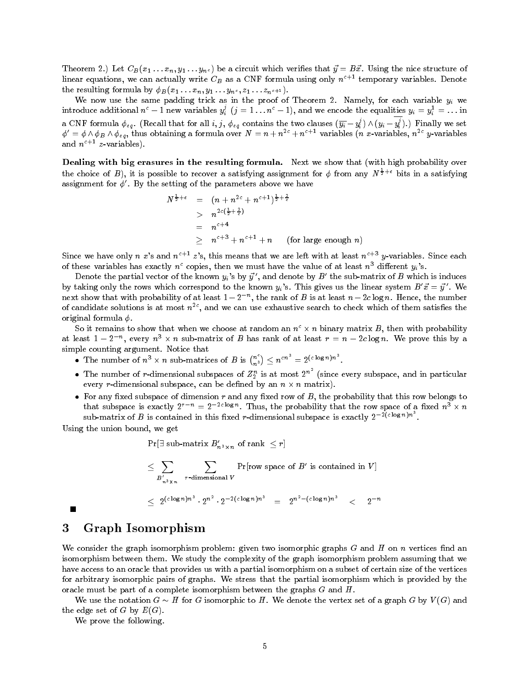Theorem 2.) Let  $C_B(x_1 \ldots x_n, y_1 \ldots y_n)$  be a circuit which verifies that  $\vec{y} = B\vec{x}$ . Using the nice structure of linear equations, we can actually write  $C_B$  as a CNF formula using only  $n^{c+1}$  temporary variables. Denote the resulting formula by  $\phi_B(x_1 \ldots x_n, y_1 \ldots y_n) \ldots z_n \epsilon+1}$ .

We now use the same padding trick as in the proof of Theorem 2. Namely, for each variable  $y_i$  we introduce additional  $n^c-1$  new variables  $y_i^j$   $(j=1 \ldots n^c-1),$  and we encode the equalities  $y_i = y_i^1 = \ldots$  in a CNF formula  $\phi_{eq}$ . (Recall that for all  $i, j, \phi_{eq}$  contains the two clauses  $(\overline{y_i}-y_i')\wedge (y_i-y_i')$ .) Finally we set  $\phi' = \phi \wedge \phi_B \wedge \phi_{eq}$ , thus obtaining a formula over  $N = n + n^{2c} + n^{c+1}$  variables  $(n x$ -variables,  $n^{2c}$  y-variables and  $n^{c+1}$  z-variables).

Dealing with big erasures in the resulting formula. Next we show that (with high probability over the choice of B), it is possible to recover a satisfying assignment for  $\phi$  from any  $N^{\frac{1}{2}+\epsilon}$  bits in a satisfying assignment for  $\phi'$ . By the setting of the parameters above we have

$$
N^{\frac{1}{2}+\epsilon} = (n + n^{2c} + n^{c+1})^{\frac{1}{2}+\frac{2}{c}}
$$
  
\n
$$
> n^{2c(\frac{1}{2}+\frac{2}{c})}
$$
  
\n
$$
= n^{c+4}
$$
  
\n
$$
\geq n^{c+3} + n^{c+1} + n \quad \text{(for large enough } n\text{)}
$$

Since we have only  $n$   $x$  's and  $n$  ' '  $z$  's, this means that we are left with at least  $n$  ' '  $y$ -variables. Since each of these variables has exactly  $n^\circ$  copies, then we must have the value of at least  $n^\circ$  different  $y_i$  s.

Denote the partial vector of the known  $y_i$  s by  $y$  , and denote by  $B$  the sub-matrix of  $B$  which is induces by taking only the rows which correspond to the known  $y_i$  s. This gives us the linear system  $B\ x = y$  . We next show that with probability of at least  $1-2^{-n}$ , the rank of B is at least  $n-2c\log n$ . Hence, the number of candidate solutions is at most  $n^{-\epsilon}$ , and we can use exhaustive search to check which of them satisfies the original formula  $\phi$ .

So it remains to show that when we choose at random an  $n^c \times n$  binary matrix B, then with probability at least  $1-2^{-n}$ , every  $n^3 \times n$  sub-matrix of B has rank of at least  $r = n - 2c \log n$ . We prove this by a

- The number of  $n^3 \times n$  sub-matrices of B is  $\binom{n^c}{n^3}$ .  $n < n^{cn^{\circ}} = 2^{(\textit{c} \log n)n^{\circ}}.$ 
	- The number of r-dimensional subspaces of  $Z_2^n$  is at most  $2^{n^2}$  (since every subspace, and in particular every r-dimensional subspace, can be defined by an  $n \times n$  matrix).
	- For any fixed subspace of dimension r and any fixed row of B, the probability that this row belongs to that subspace is exactly  $2^{r-n} = 2^{-2c \log n}$ . Thus, the probability that the row space of a fixed  $n^3 \times n$ sub-matrix of B is contained in this fixed r-dimensional subspace is exactly  $2^{-2(c \log n)n}$ .

Using the union bound, we get

$$
\begin{aligned} &\Pr[\exists \text{ sub-matrix } B'_{n^3 \times n} \text{ of rank } \leq r] \\ &\leq \sum_{B'_{n^3 \times n}} \sum_{r-\text{dimensional } V} \Pr[\text{row space of } B' \text{ is contained in } V] \\ &< 2^{(c \log n)n^3} \cdot 2^{n^2} \cdot 2^{-2(c \log n)n^3} = 2^{n^2 - (c \log n)n^3} &< 2^{-n} \end{aligned}
$$

### $\bf{3}$ Graph Isomorphism

We consider the graph isomorphism problem: given two isomorphic graphs  $G$  and  $H$  on  $n$  vertices find an isomorphism between them. We study the complexity of the graph isomorphism problem assuming that we have access to an oracle that provides us with a partial isomorphism on a subset of certain size of the vertices for arbitrary isomorphic pairs of graphs. We stress that the partial isomorphism which is provided by the oracle must be part of a complete isomorphism between the graphs  $G$  and  $H$ .

We use the notation  $G \sim H$  for G isomorphic to H. We denote the vertex set of a graph G by  $V(G)$  and the edge set of G by  $E(G)$ .

We prove the following.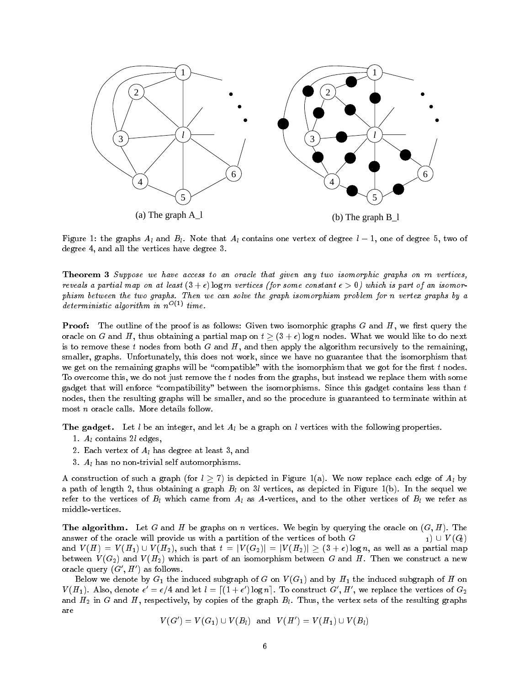

Figure 1: the graphs  $A_l$  and  $B_l$ . Note that  $A_l$  contains one vertex of degree  $l-1$ , one of degree 5, two of degree 4, and all the vertices have degree 3.

Theorem Suppose we have access to an oracle that given any two isomorphic graphs on m verticesreveals a particle map on at least  $\mathbf{v}$  is speed to some constant and isomorphic interventional and isomorphic to an intervention of an intervention of an intervention of an intervention of an intervention of an interv phism between the two graphs. Then we can solve the graph isomorphism problem for n vertex graphs by a  $a \epsilon$ ierministic algorithm in  $n^{-1-\epsilon}$  time.

**Proof:** The outline of the proof is as follows: Given two isomorphic graphs  $G$  and  $H$ , we first query the oracle on G and H, thus obtaining a partial map on  $t \geq (3 + \epsilon) \log n$  nodes. What we would like to do next is to remove these t nodes from both  $G$  and  $H$ , and then apply the algorithm recursively to the remaining, smaller, graphs. Unfortunately, this does not work, since we have no guarantee that the isomorphism that we get on the remaining graphs will be "compatible" with the isomorphism that we got for the first  $t$  nodes. To overcome this, we do not just remove the  $t$  nodes from the graphs, but instead we replace them with some gadget that will enforce "compatibility" between the isomorphisms. Since this gadget contains less than  $t$ nodes, then the resulting graphs will be smaller, and so the procedure is guaranteed to terminate within at most  $n$  oracle calls. More details follow.

The gadget. Let l be an integer, and let  $A_l$  be a graph on l vertices with the following properties.

- 1.  $A_l$  contains 2l edges,
- 2. Each vertex of  $A_l$  has degree at least 3, and
- 3.  $A_l$  has no non-trivial self automorphisms.

A construction of such a graph (for  $l \geq 7$ ) is depicted in Figure 1(a). We now replace each edge of  $A_l$  by a path of length 2, thus obtaining a graph  $B_l$  on 3l vertices, as depicted in Figure 1(b). In the sequel we refer to the vertices of  $B_l$  which came from  $A_l$  as A-vertices, and to the other vertices of  $B_l$  we refer as middle-vertices.

The algorithm. Let G and H be graphs on n vertices. We begin by querying the oracle on  $(G, H)$ . The answer of the oracle will provide us with a partition of the vertices of both  $G$   $1) \cup V(G)$ and  $V(H) = V(H_1) \cup V(H_2)$ , such that  $t = |V(G_2)| = |V(H_2)| \geq (3 + \epsilon) \log n$ , as well as a partial map between  $V(G_2)$  and  $V(H_2)$  which is part of an isomorphism between G and H. Then we construct a new oracle query  $(G', H')$  as follows.

Below we denote by G the induced subgraph of <sup>G</sup> on <sup>V</sup> G and by H the induced subgraph of <sup>H</sup> on  $V(H_1)$ . Also, denote  $\epsilon' = \epsilon/4$  and let  $l = \lceil (1+\epsilon')\log n \rceil$ . To construct  $G', H'$ , we replace the vertices of  $G_2$ and H  $_{\mu}$  in G and H  $_{\mu}$  respectively by copies of the graph Bl  $_{\mu}$  the vertex sets of the resulting graphs. are

 $V(G') = V(G_1) \cup V(B_1)$  and  $V(H') = V(H_1) \cup V(B_1)$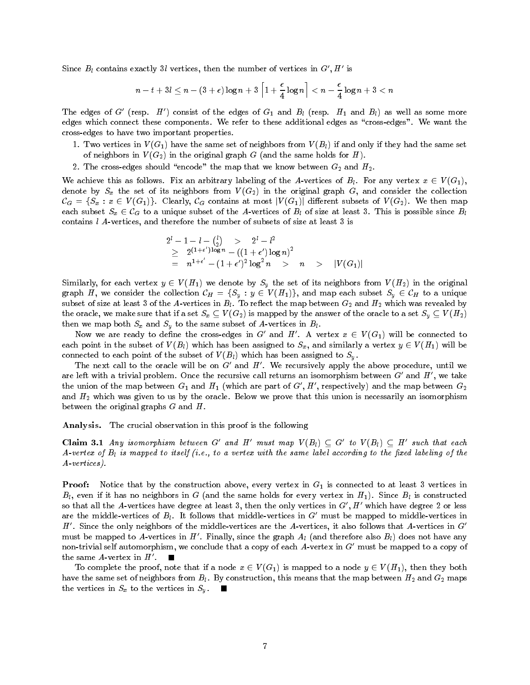Since  $B_l$  contains exactly 3l vertices, then the number of vertices in  $G', H'$  is

$$
n-t+3l\leq n-(3+\epsilon)\log n+3\left\lceil 1+\frac{\epsilon}{4}\log n\right\rceil
$$

The edges of G resp.  $H$  ) consist of the edges of G<sub>1</sub> and B<sub>l</sub> resp.  $H_1$  and B<sub>l</sub> as well as some more edges which connect these components. We refer to these additional edges as "cross-edges". We want the crossedges to have two important properties

- 1. Two vertices in  $V(G_1)$  have the same set of neighbors from  $V(B_l)$  if and only if they had the same set of neighbors in  $V(G_2)$  in the original graph G (and the same holds for H).
- The crossedges shown between the map that we know between G  $_{2}$  and H  $_{2}$  .

We achieve this as follows. Fix an arbitrary labeling of the A-vertices of  $B_l$ . For any vertex  $x \in V(G_1)$ , denote by  $S_x$  the set of its neighbors from  $V(G_2)$  in the original graph G, and consider the collection  $\mathcal{C}_G = \{S_x : x \in V(G_1)\}\.$  Clearly,  $\mathcal{C}_G$  contains at most  $|V(G_1)|$  different subsets of  $V(G_2)$ . We then map denote by  $S_x$  the set of its neighbors from  $V(G_2)$  in the original graph  $G$ , and consider the collection  $C_G = \{S_x : x \in V(G_1)\}$ . Clearly,  $C_G$  contains at most  $|V(G_1)|$  different subsets of  $V(G_2)$ . We then map each subse contains l A-vertices, and therefore the number of subsets of size at least 3 is

$$
2^{l} - 1 - l - {l \choose 2} > 2^{l} - l^{2}
$$
  
\n
$$
\geq 2^{(1+\epsilon')\log n} - ((1+\epsilon')\log n)^{2}
$$
  
\n
$$
= n^{1+\epsilon'} - (1+\epsilon')^{2}\log^{2} n > n > |V(G_{1})|
$$

Similarly, for each vertex  $y \in V(H_1)$  we denote by  $S_y$  the set of its neighbors from  $V(H_2)$  in the original Similarly, for each vertex  $y \in V(H_1)$  we denote by  $S_y$  the set of its neighbors from  $V(H_2)$  in the original graph  $H$ , we consider the collection  $\mathcal{C}_H = \{S_y : y \in V(H_1)\}$ , and map each subset  $S_y \in \mathcal{C}_H$  to a unique subset of size at least 3 of the A-vertices in  $B_l$ . To reflect the map between  $G_2$  and  $H_2$  which was revealed by the oracle, we make sure that if a set  $S_x \subseteq V(G_2)$  is mapped by the answer of the oracle to a set  $S_y \subseteq V(H_2)$ then we map both  $S_x$  and  $S_y$  to the same subset of A-vertices in  $B_l$ .

Now we are ready to define the cross-edges in G' and H'. A vertex  $x \in V(G_1)$  will be connected to each point in the subset of  $V(B_l)$  which has been assigned to  $S_x$ , and similarly a vertex  $y \in V(H_1)$  will be connected to each point of the subset of  $V(B_l)$  which has been assigned to  $S_u$ .

The next call to the oracle will be on  $G'$  and  $H'$ . We recursively apply the above procedure, until we are left with a trivial problem. Once the recursive call returns an isomorphism between  $G'$  and  $H'$ , we take the union of the map between  $G_1$  and  $H_1$  (which are part of  $G$  ,  $H$  , respectively) and the map between  $G_2$ and H  $_{\alpha}$  which was given to us by the oracle Below we prove that this union is necessarily and isomorphisms. between the original graphs  $G$  and  $H$ .

Analysis. The crucial observation in this proof is the following

Claim 3.1 Any isomorphism between G' and H' must map  $V(B_l) \subset G'$  to  $V(B_l) \subset H'$  such that each avertex of Bl is mapped to the same label according the same label according to the functions of the cordinatio  $A$ -vertices).

Proof Notice that by the construction above every vertex in G is connected to at least vertices in  $B_l$ , even if it has no neighbors in G (and the same holds for every vertex in  $H_1$ ). Since  $B_l$  is constructed so that all the A-vertices have degree at least 3, then the only vertices in  $G', H'$  which have degree 2 or less are the middle-vertices of  $B_l$ . It follows that middle-vertices in  $G'$  must be mapped to middle-vertices in  $H'$ . Since the only neighbors of the middle-vertices are the A-vertices, it also follows that A-vertices in  $G'$ must be mapped to A-vertices in H'. Finally, since the graph  $A_l$  (and therefore also  $B_l$ ) does not have any non-trivial self automorphism, we conclude that a copy of each  $A$ -vertex in  $G'$  must be mapped to a copy of the same A-vertex in  $H'$ . П

To complete the proof, note that if a node  $x \in V(G_1)$  is mapped to a node  $y \in V(H_1)$ , then they both have the same set of neighbors from  $B_l$ . By construction, this means that the map between  $H_2$  and  $G_2$  maps the vertices in  $S_x$  to the vertices in  $S_y$ .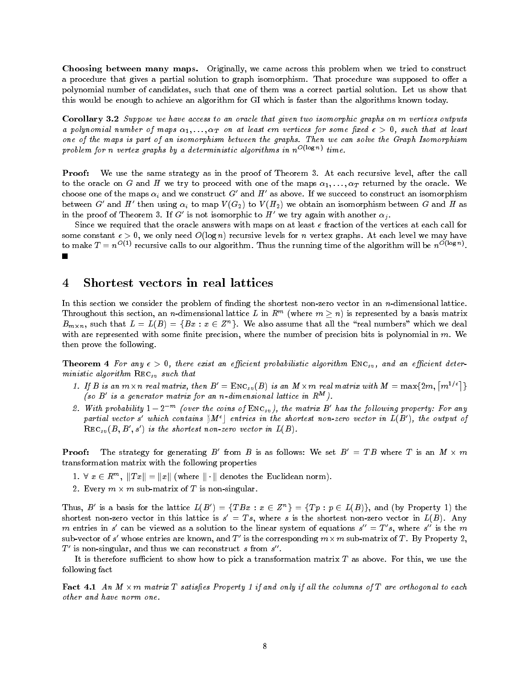Choosing between many maps. Originally, we came across this problem when we tried to construct a procedure that gives a partial solution to graph isomorphism. That procedure was supposed to offer a polynomial number of candidates, such that one of them was a correct partial solution. Let us show that this would be enough to achieve an algorithm for GI which is faster than the algorithms known today

Corollary Suppose we have access to an oracle that given two isomorphic graphs on m vertices outputs a polynomial number of maps and maps of maps in at least maps of some some of some some of some some some some one of the maps is part of an isomorphism between the graphs. Then we can solve the Graph Isomorphism problem for n vertex graphs by a aeterministic algorithms in  $n^{-(\infty\sigma-\nu)}$  time.

**Proof:** We use the same strategy as in the proof of Theorem 3. At each recursive level, after the call to the oracle on G and H we try to proceed with one of the maps  $\alpha_1, \ldots, \alpha_T$  returned by the oracle. We choose one of the maps  $\alpha_i$  and we construct G' and H' as above. If we succeed to construct an isomorphism between G' and H' then using  $\alpha_i$  to map  $V(G_2)$  to  $V(H_2)$  we obtain an isomorphism between G and H as in the proof of Theorem 3. If G' is not isomorphic to H' we try again with another  $\alpha_i$ .

Since we required that the oracle answers with maps on at least  $\epsilon$  fraction of the vertices at each call for some constant to be a recursive of the constant at each level we may have a constant at each level we may have to make  $T = n^{-(1-\epsilon)}$  recursive calls to our algorithm. Thus the running time of the algorithm will be  $n^{-(1-\epsilon)/2}$ 

### Shortest vectors in real lattices  $\overline{4}$

In this section we consider the problem of finding the shortest non-zero vector in an  $n$ -dimensional lattice. Throughout this section, an *n*-dimensional lattice L in  $R^m$  (where  $m > n$ ) is represented by a basis matrix  $B_{m \times n}$ , such that  $L = L(B) = \{Bx : x \in \mathbb{Z}^n\}$ . We also assume that all the "real numbers" which we deal with are represented with some finite precision, where the number of precision bits is polynomial in  $m$ . We then prove the following

Theorem For any sixt and continues and algorithm Encyclopedia and algorithm Encyclopedia and algorithm Encyclopedia ministic algorithm  $\text{Rec}_{sv}$  such that

- 1. If B is an  $m \times n$  real matrix, then  $B' = ENC_{s_v}(B)$  is an  $M \times m$  real matrix with  $M = \max\{2m, \lceil m^{1/\epsilon} \rceil \}$ (so  $B'$  is a generator matrix for an n-dimensional lattice in  $R^M$ ).
- 2. With probability  $1-2^{-m}$  (over the coins of  $\text{Enc}_{sv}$ ), the matrix B' has the following property: For any partial vector s' which contains  $\mathbb{M}^{\epsilon}$  entries in the shortest non-zero vector in  $L(B')$ , the output of  $\text{Rec}_{sv}(B, B', s')$  is the shortest non-zero vector in  $L(B)$ .

**Proof:** The strategy for generating B' from B is as follows: We set  $B' = TB$  where T is an  $M \times m$ transformation matrix with the following properties

- 1.  $\forall x \in R^m$ ,  $||Tx|| = ||x||$  (where  $|| \cdot ||$  denotes the Euclidean norm).
- 2. Every  $m \times m$  sub-matrix of T is non-singular.

Thus, B' is a basis for the lattice  $L(B') = \{TBx : x \in Z^n\} = \{Tp : p \in L(B)\}$ , and (by Property 1) the shortest hon-zero vector in this lattice is  $s = \pm s$ , where s is the shortest non-zero vector in  $L(D)$ . Any  $m$  entries in  $s$  can be viewed as a solution to the linear system of equations  $s_-=1\ s$ , where  $s_-$  is the  $m$ sub-vector of s' whose entries are known, and T' is the corresponding  $m \times m$  sub-matrix of T. By Property 2,  $I$  is non-singular, and thus we can reconstruct s from  $s$  .

It is therefore sufficient to show how to pick a transformation matrix  $T$  as above. For this, we use the following fact

**Fact 4.1** An  $M \times m$  matrix T satisfies Property 1 if and only if all the columns of T are orthogonal to each other and have norm one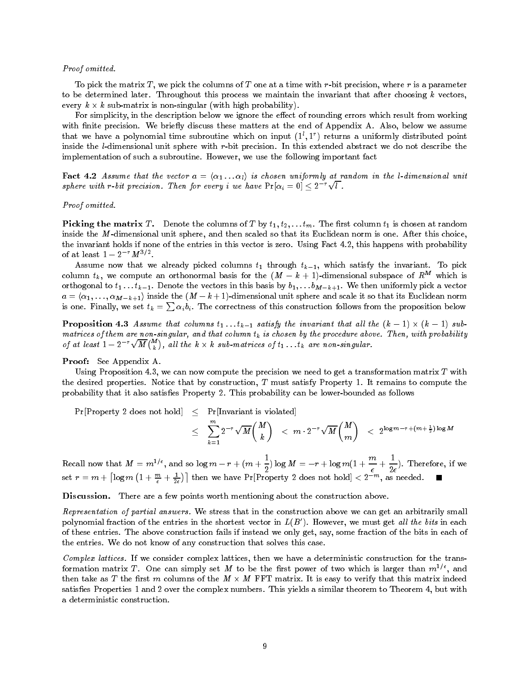## Proof omitted.

To pick the matrix T, we pick the columns of T one at a time with r-bit precision, where r is a parameter to be determined later. Throughout this process we maintain the invariant that after choosing  $k$  vectors, every  $k \times k$  sub-matrix is non-singular (with high probability).

For simplicity, in the description below we ignore the effect of rounding errors which result from working with finite precision. We briefly discuss these matters at the end of Appendix A. Also, below we assume that we have a polynomial time subroutine which on input  $(1^l, 1^r)$  returns a uniformly distributed point inside the *l*-dimensional unit sphere with r-bit precision. In this extended abstract we do not describe the implementation of such a subroutine. However, we use the following important fact

**Fact 4.2** Assume that the vector  $a = \langle \alpha_1 \dots \alpha_l \rangle$  is chosen uniformly at random in the l-dimensional unit sphere with r-bit precision. Then for every i we have  $Pr[\alpha_i = 0] < 2^{-r} \sqrt{l}$ .

## Proof omitted.

Picking the matrix T. Denote the columns of T by  $t_1, t_2, \ldots t_m$ . The first column  $t_1$  is chosen at random inside the M-dimensional unit sphere, and then scaled so that its Euclidean norm is one. After this choice, the invariant holds if none of the entries in this vector is zero. Using Fact 4.2, this happens with probability of at least  $1 - 2^{-r} M^{3/2}$ .

Assume now that we already picked columns t through tk- which satisfy the invariant To pick column  $t_k$ , we compute an orthonormal basis for the  $(M - k + 1)$ -dimensional subspace of  $R^M$  which is orthogonal to the vectors in this basis by b basis by this by  $M=N+1$  , the case waves when  $\eta$  picket with the vectors  $a = \langle \alpha_1, \ldots, \alpha_{M-k+1} \rangle$  inside the  $(M-k+1)$ -dimensional unit sphere and scale it so that its Euclidean norm is one. Finally, we set  $t_k = \sum \alpha_i b_i$ . The correctness of this construction follows from the proposition below

**Proposition 4.3** Assume that columns  $t_1 \nldots t_{k-1}$  satisfy the invariant that all the  $(k-1) \times (k-1)$  submatrices of them are nonsingular-term and that column terms above Then-terms above Then-terms above Then-terms above Thenmatrices of them are non-singular, and that column  $t_k$  is chosen by the proceaure above<br>of at least  $1-2^{-r}\sqrt{M} \binom{M}{k}$ , all the k  $\times$  k sub-matrices of  $t_1 \dots t_k$  are non-singular.

Proof: See Appendix A.

Using Proposition 4.3, we can now compute the precision we need to get a transformation matrix T with the desired properties. Notice that by construction,  $T$  must satisfy Property 1. It remains to compute the probability that it also satisfies Property 2. This probability can be lower-bounded as follows

 $Pr[Property 2 does not hold] \leq Pr[Invariant is violated]$ 

$$
\leq \quad \sum_{k=1}^m 2^{-r} \sqrt{M} \binom{M}{k} \quad < \quad m \cdot 2^{-r} \sqrt{M} \binom{M}{m} \quad < \quad 2^{\log m - r + (m + \frac{1}{2})\log M}
$$

Recall now that  $M = m^{1/\epsilon}$ , and so  $\log m - r + (m + \frac{1}{2}) \log M = -r + \log m(1 + \frac{m}{\epsilon} + \frac{1}{2\epsilon}).$  Therefore, if we set r med andere r med andere r med andere r med andere r med andere r med andere r med andere r med andere r and the contract of the contract of  $\log m\left(1+\frac{m}{\epsilon}+\frac{1}{2\epsilon}\right)\right]$  then we have Pr[Property 2 does not hold]  $< 2^{-m},$  as needed.

Discussion. There are a few points worth mentioning about the construction above.

Representation of partial answers. We stress that in the construction above we can get an arbitrarily small polynomial fraction of the entries in the shortest vector in  $L(B')$ . However, we must get all the bits in each of these entries. The above construction fails if instead we only get, say, some fraction of the bits in each of the entries. We do not know of any construction that solves this case.

Complex lattices. If we consider complex lattices, then we have a deterministic construction for the transformation matrix T . One can simply set M to be the first power of two which is larger than  $m^{1+\varepsilon}$ , and then take as T the first m columns of the  $M \times M$  FFT matrix. It is easy to verify that this matrix indeed satisfies Properties 1 and 2 over the complex numbers. This yields a similar theorem to Theorem 4, but with a deterministic construction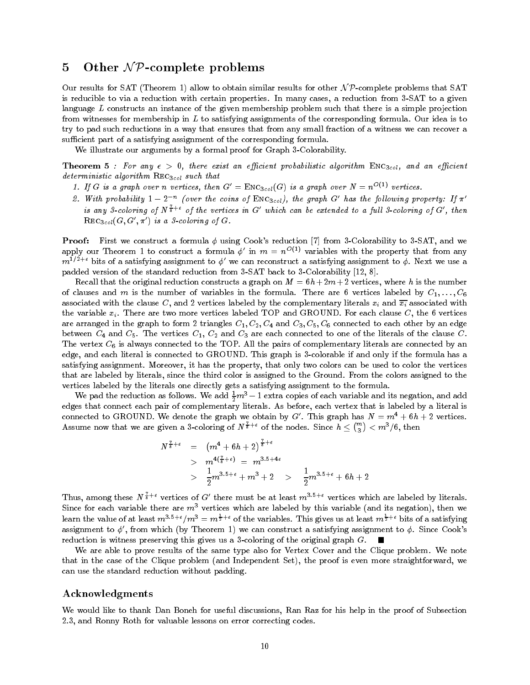# 5 Other  $N\mathcal{P}$ -complete problems

Our results for SAT (Theorem 1) allow to obtain similar results for other  $N\mathcal{P}$ -complete problems that SAT is reducible to via a reduction with certain properties. In many cases, a reduction from 3-SAT to a given language  $L$  constructs an instance of the given membership problem such that there is a simple projection from witnesses for membership in  $L$  to satisfying assignments of the corresponding formula. Our idea is to try to pad such reductions in a way that ensures that from any small fraction of a witness we can recover a sufficient part of a satisfying assignment of the corresponding formula.

We illustrate our arguments by a formal proof for Graph 3-Colorability.

the common theorem and any other common common probabilities and algorithm Encolous and algorithm Enco deterministic algorithm  $\text{Rec}_{3col}$  such that

- 1. If G is a graph over n vertices, then  $G' = ENC_{3col}(G)$  is a graph over  $N = n^{O(1)}$  vertices.
- 2. With probability  $1-2^{-n}$  (over the coins of  $\text{Enc}_{3col}$ ), the graph G' has the following property: If  $\pi'$ is any 3-coloring of  $N^{\frac{1}{8}+\epsilon}$  of the vertices in G' which can be extended to a full 3-coloring of G', then  $REC_{3col}$  (G, G,  $\pi$  ) is a 3-coloring of G.

Proof First we construct a formula using Cook s reduction from Colorability to SAT and we apply our Theorem I to construct a formula  $\varphi$  in  $m=n^{-(s)}$  variables with the property that from any  $m$ - $\prime$  -  $\prime$  bits of a satisfying assignment to  $\varphi$  we can reconstruct a satisfying assignment to  $\varphi$ . Next we use a padded version of the standard reduction from  $3-SAT$  back to  $3$ -Colorability [12, 8].

Recall that the original reduction constructs a graph on  $M = 6h + 2m + 2$  vertices, where h is the number of clauses and m is the number of variables in the formula. There are 6 vertices labeled by  $C_1, \ldots, C_6$ associated with the clause C, and 2 vertices labeled by the complementary literals  $x_i$  and  $\overline{x_i}$  associated with the variable  $x_i$ . There are two more vertices labeled TOP and GROUND. For each clause  $C$ , the 6 vertices are arranged in the graph to form triangles C C C and C C C connected to each other by an edge between C and C C and C and C and C C and C and C and C are each connected to one of the clause C and C and C The vertex C is always connected to the TOP All the pairs of complementary literals are connected by an edge, and each literal is connected to GROUND. This graph is 3-colorable if and only if the formula has a satisfying assignment. Moreover, it has the property, that only two colors can be used to color the vertices that are labeled by literals, since the third color is assigned to the Ground. From the colors assigned to the vertices labeled by the literals one directly gets a satisfying assignment to the formula

We pad the reduction as follows. We add  $\frac{1}{2}m^3-1$  extra copies of each variable and its negation, and add edges that connect each pair of complementary literals. As before, each vertex that is labeled by a literal is connected to GROUND. We denote the graph we obtain by G'. This graph has  $N = m<sup>4</sup> + 6h + 2$  vertices. Assume now that we are given a 3-coloring of  $N^{\frac{1}{8}+\epsilon}$  of the nodes. Since  $h \leq {m \choose 2} < r$  $\binom{m}{3}< m^3/6, \,\text{then}$ 

$$
N^{\frac{7}{8}+\epsilon} = (m^4 + 6h + 2)^{\frac{7}{8}+\epsilon}
$$
  
>  $m^{4(\frac{7}{8}+\epsilon)} = m^{3.5+4\epsilon}$   
>  $\frac{1}{2}m^{3.5+\epsilon} + m^3 + 2 > \frac{1}{2}m^{3.5+\epsilon} + 6h + 2$ 

Thus, among these  $N^{\frac{1}{5}+\epsilon}$  vertices of G' there must be at least  $m^{3.5+\epsilon}$  vertices which are labeled by literals. Since for each variable there are  $m^3$  vertices which are labeled by this variable (and its negation), then we learn the value of at least  $m^{3.5+\epsilon}/m^3=m^{\frac{1}{2}+\epsilon}$  of the variables. This gives us at least  $m^{\frac{1}{2}+\epsilon}$  bits of a satisfying assignment to  $\varphi$  , from which (by Theorem 1) we can construct a satisfying assignment to  $\varphi$ . Since Cook's reduction is witness preserving this gives us a 3-coloring of the original graph  $G$ .

We are able to prove results of the same type also for Vertex Cover and the Clique problem. We note that in the case of the Clique problem (and Independent Set), the proof is even more straightforward, we can use the standard reduction without padding

# Acknowledgments

We would like to thank Dan Boneh for useful discussions, Ran Raz for his help in the proof of Subsection 2.3, and Ronny Roth for valuable lessons on error correcting codes.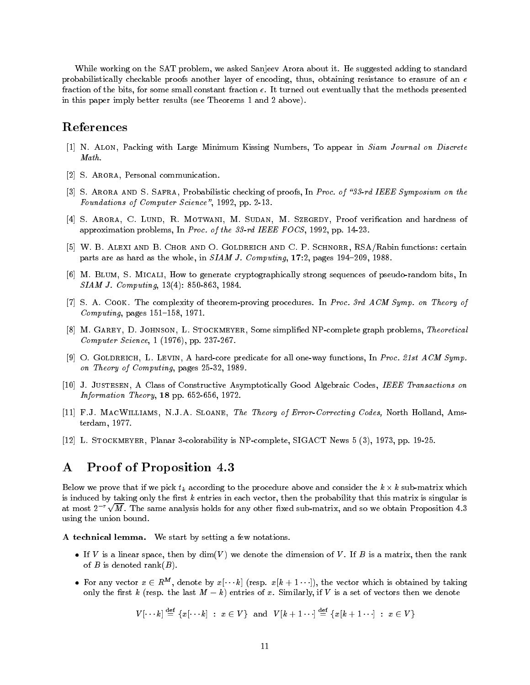While working on the SAT problem, we asked Sanjeev Arora about it. He suggested adding to standard probabilistically checkable proofs another layer of encoding, thus, obtaining resistance to erasure of an  $\epsilon$ fraction of the bits, for some small constant fraction  $\epsilon$ . It turned out eventually that the methods presented in this paper imply better results (see Theorems 1 and 2 above).

# **References**

- [1] N. ALON, Packing with Large Minimum Kissing Numbers, To appear in Siam Journal on Discrete Math
- [2] S. ARORA, Personal communication.
- S Arora and S Safra Probabilistic checking of proofs In Proc of rd IEEE Symposium on the Foundations of Computer Science",  $1992$ , pp. 2-13.
- [4] S. ARORA, C. LUND, R. MOTWANI, M. SUDAN, M. SZEGEDY, Proof verification and hardness of re <u>protestant in Problems In Processes</u> In Processes In Processes In Processes In Processes In Processes In Processes
- [5] W. B. ALEXI AND B. CHOR AND O. GOLDREICH AND C. P. SCHNORR, RSA/Rabin functions: certain parts are as hard as the whole, in  $SIAM$  J. Computing, 17:2, pages 194-209, 1988.
- [6] M. BLUM, S. MICALI, How to generate cryptographically strong sequences of pseudo-random bits, In  $SIAM$  J. Computing,  $13(4)$ : 850-863, 1984.
- S A Cook The complexity of theoremproving procedures In Proc rd ACM Symp on Theory of  $Computing$ , pages 151-158, 1971.
- [8] M. GAREY, D. JOHNSON, L. STOCKMEYER, Some simplified NP-complete graph problems, Theoretical Computer Science,  $1(1976)$ , pp. 237-267.
- [9] O. GOLDREICH, L. LEVIN, A hard-core predicate for all one-way functions, In Proc. 21st ACM Symp. on Theory of Computing, pages  $25-32$ , 1989.
- [10] J. JUSTESEN, A Class of Constructive Asymptotically Good Algebraic Codes, IEEE Transactions on Information Theory,  $18$  pp. 652-656, 1972.
- FJ MacWilliams NJA Sloane The Theory of ErrorCorrecting Codes- North Holland Ams terdam, 1977.
- [12] L. STOCKMEYER, Planar 3-colorability is NP-complete, SIGACT News  $5(3)$ , 1973, pp. 19-25.

### Proof of Proposition 4.3  $\mathbf{A}$

Below we prove that if we pick  $t_k$  according to the procedure above and consider the  $k \times k$  sub-matrix which is induced by taking only the first  $k$  entries in each vector, then the probability that this matrix is singular is is induced by taking only the first  $\kappa$  entries in each vector, then the probability that this matrix is singular is<br>at most 2<sup>-r</sup>  $\sqrt{M}.$  The same analysis holds for any other fixed sub-matrix, and so we obtain Proposi using the union bound

A technical lemma. We start by setting a few notations.

- If V is a linear space, then by  $\dim(V)$  we denote the dimension of V. If B is a matrix, then the rank of B is denoted rank $(B)$ .
- For any vector  $x \in R^M$ , denote by  $x[\cdots k]$  (resp.  $x[k+1\cdots])$ , the vector which is obtained by taking only the first k (resp. the last  $M-k$ ) entries of x. Similarly, if V is a set of vectors then we denote

 $V[\cdots k]$  is  $\{x[\cdots k] : x \in V\}$  and  $V[k+1 \cdots]$  is  $\{x[k+1 \cdots] : x \in V\}$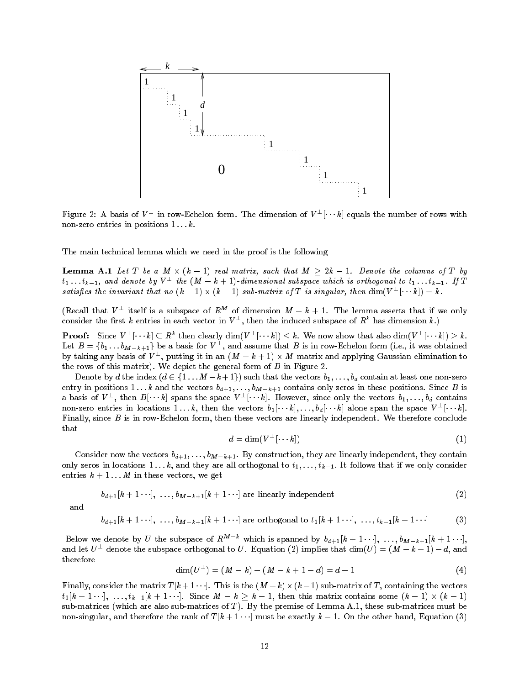

Figure 2: A basis of  $V^{\perp}$  in row-Echelon form. The dimension of  $V^{\perp}[\cdots k]$  equals the number of rows with non-zero entries in positions  $1 \ldots k$ .

The main technical lemma which we need in the proof is the following

**Lemma A.1** Let T be a  $M \times (k-1)$  real matrix, such that  $M \geq 2k-1$ . Denote the columns of T by  $t_1 \ldots t_{k-1}$ , and denote by  $V^{\perp}$  the  $(M-k+1)$ -dimensional subspace which is orthogonal to  $t_1 \ldots t_{k-1}$ . If  $T$ satisfies the invariant that no  $(k-1) \times (k-1)$  sub-matrix of T is singular, then  $\dim(V^{\perp}[\cdots k]) = k$ .

(Recall that  $V^{\perp}$  itself is a subspace of  $R^{M}$  of dimension  $M-k+1$ . The lemma asserts that if we only consider the first  $\kappa$  entries in each vector in  $V^-$ , then the induced subspace of  $R^+$  has dimension  $\kappa$ .)

**Proof:** Since  $V^{\perp}[\cdot \cdot \cdot k] \subset R^k$  then clearly  $\dim(V^{\perp}[\cdot \cdot \cdot k]) \leq k$ . We now show that also  $\dim(V^{\perp}[\cdot \cdot \cdot k]) \geq k$ . Let  $B = \{b_1...b_{M-k+1}\}$  be a basis for  $V^{\perp}$ , and assume that B is in row-Echelon form (i.e., it was obtained by taking any basis of  $V^{\perp}$ , putting it in an  $(M - k + 1) \times M$  matrix and applying Gaussian elimination to<br>the rows of this matrix). We depict the general form of B in Figure 2.<br>Denote by d the index  $(d \in \{1 \dots M - k + 1\})$  su the rows of this matrix). We depict the general form of  $B$  in Figure 2.

Denote by d the index  $(d \in \{1 \dots M-k+1\})$  such that the vectors  $b_1, \dots, b_d$  contain at least one non-zero entry in positions we contains the vectors  $u_{\pm 1},\ldots,$   $u_{t-k+1}$  contains  $\cdots$  and  $\cdots$  in the vectors  $\pm$  and a basis of  $V^{\perp}$ , then  $B[\cdots k]$  spans the space  $V^{\perp}[\cdots k]$ . However, since only the vectors  $b_1,\ldots,b_d$  contains non-zero entries in locations 1...k, then the vectors  $b_1[\cdots k], \ldots, b_d[\cdots k]$  alone span the space  $V^{\perp}[\cdots k]$ . Finally, since  $B$  is in row-Echelon form, then these vectors are linearly independent. We therefore conclude that

$$
d = \dim(V^{\perp}[\cdots k])\tag{1}
$$

construction the vectors bad independent the vectors bad in the vectors of the vectors are linearly independent the<br>The vectors of the vectors of the vectors of the vectors of the vectors of the vectors of the vectors of t only zeros in locations k and they are all orthogonal to ttk- It follows that if we only consider entries  $k + 1 \ldots M$  in these vectors, we get

$$
b_{d+1}[k+1\cdots], \ldots, b_{M-k+1}[k+1\cdots] \text{ are linearly independent} \tag{2}
$$

and

$$
b_{d+1}[k+1\cdots], \ldots, b_{M-k+1}[k+1\cdots] \text{ are orthogonal to } t_1[k+1\cdots], \ldots, t_{k-1}[k+1\cdots] \tag{3}
$$

Below we denote by U the subspace of  $R^{M-k}$  which is spanned by  $b_{d+1}[k+1\cdots], \ldots, b_{M-k+1}[k+1\cdots],$ and let  $U^{\perp}$  denote the subspace orthogonal to U. Equation (2) implies that  $\dim(U) = (M - k + 1) - d$ , and therefore

$$
\dim(U^{\perp}) = (M - k) - (M - k + 1 - d) = d - 1 \tag{4}
$$

Finally, consider the matrix  $T[k+1\cdots]$ . This is the  $(M-k)\times (k-1)$  sub-matrix of T, containing the vectors  $t_1[k+1\cdots], \ldots, t_{k-1}[k+1\cdots].$  Since  $M-k > k-1$ , then this matrix contains some  $(k-1)\times (k-1)$ sub-matrices (which are also sub-matrices of  $T$ ). By the premise of Lemma A.1, these sub-matrices must be non-singular, and therefore the rank of  $T[k+1\cdots]$  must be exactly  $k-1$ . On the other hand, Equation (3)